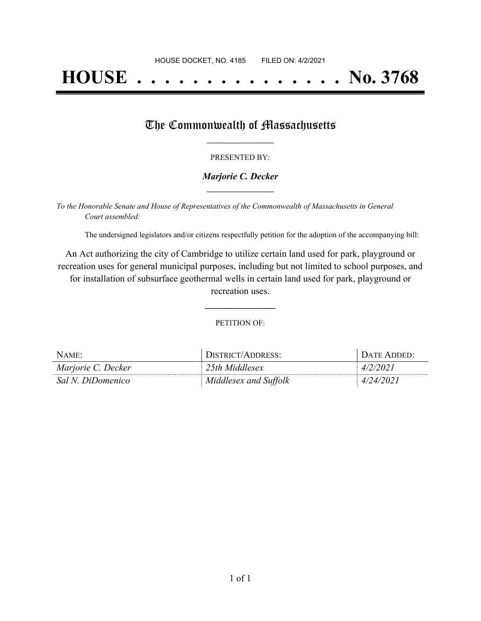# **HOUSE . . . . . . . . . . . . . . . No. 3768**

## The Commonwealth of Massachusetts

#### PRESENTED BY:

#### *Marjorie C. Decker* **\_\_\_\_\_\_\_\_\_\_\_\_\_\_\_\_\_**

*To the Honorable Senate and House of Representatives of the Commonwealth of Massachusetts in General Court assembled:*

The undersigned legislators and/or citizens respectfully petition for the adoption of the accompanying bill:

An Act authorizing the city of Cambridge to utilize certain land used for park, playground or recreation uses for general municipal purposes, including but not limited to school purposes, and for installation of subsurface geothermal wells in certain land used for park, playground or recreation uses.

PETITION OF:

**\_\_\_\_\_\_\_\_\_\_\_\_\_\_\_**

| NAME:              | <sup>1</sup> DISTRICT/ADDRESS: | DATE ADDED: |
|--------------------|--------------------------------|-------------|
| Marjorie C. Decker | 25th Middlesex                 | 4/2/2021    |
| Sal N. DiDomenico  | Middlesex and Suffolk          | 4/24/2021   |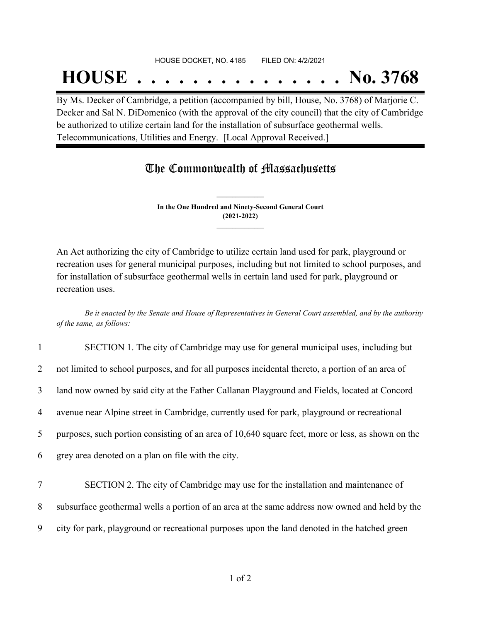#### HOUSE DOCKET, NO. 4185 FILED ON: 4/2/2021

## **HOUSE . . . . . . . . . . . . . . . No. 3768**

By Ms. Decker of Cambridge, a petition (accompanied by bill, House, No. 3768) of Marjorie C. Decker and Sal N. DiDomenico (with the approval of the city council) that the city of Cambridge be authorized to utilize certain land for the installation of subsurface geothermal wells. Telecommunications, Utilities and Energy. [Local Approval Received.]

### The Commonwealth of Massachusetts

**In the One Hundred and Ninety-Second General Court (2021-2022) \_\_\_\_\_\_\_\_\_\_\_\_\_\_\_**

**\_\_\_\_\_\_\_\_\_\_\_\_\_\_\_**

An Act authorizing the city of Cambridge to utilize certain land used for park, playground or recreation uses for general municipal purposes, including but not limited to school purposes, and for installation of subsurface geothermal wells in certain land used for park, playground or recreation uses.

Be it enacted by the Senate and House of Representatives in General Court assembled, and by the authority *of the same, as follows:*

| $\mathbf{1}$   | SECTION 1. The city of Cambridge may use for general municipal uses, including but                |
|----------------|---------------------------------------------------------------------------------------------------|
| $\overline{2}$ | not limited to school purposes, and for all purposes incidental thereto, a portion of an area of  |
| 3              | land now owned by said city at the Father Callanan Playground and Fields, located at Concord      |
| 4              | avenue near Alpine street in Cambridge, currently used for park, playground or recreational       |
| 5              | purposes, such portion consisting of an area of 10,640 square feet, more or less, as shown on the |
| 6              | grey area denoted on a plan on file with the city.                                                |
| 7              | SECTION 2. The city of Cambridge may use for the installation and maintenance of                  |
|                |                                                                                                   |
| 8              | subsurface geothermal wells a portion of an area at the same address now owned and held by the    |
| 9              | city for park, playground or recreational purposes upon the land denoted in the hatched green     |